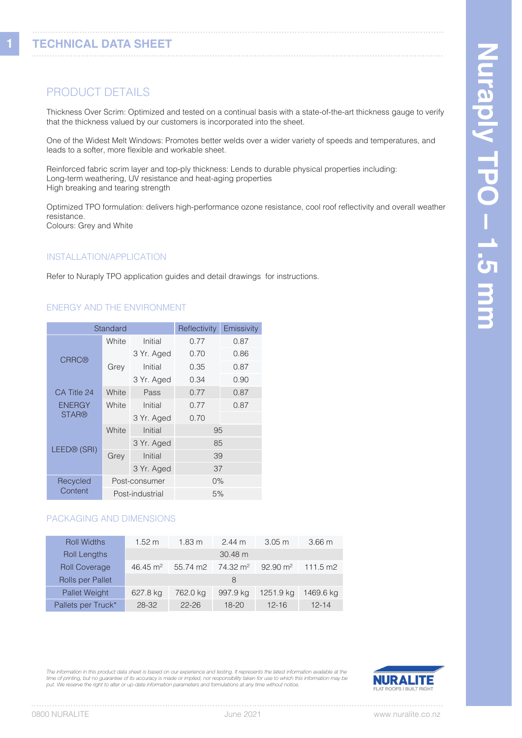**1**

# PRODUCT DETAILS

Thickness Over Scrim: Optimized and tested on a continual basis with a state-of-the-art thickness gauge to verify that the thickness valued by our customers is incorporated into the sheet.

One of the Widest Melt Windows: Promotes better welds over a wider variety of speeds and temperatures, and leads to a softer, more flexible and workable sheet.

Reinforced fabric scrim layer and top-ply thickness: Lends to durable physical properties including: Long-term weathering, UV resistance and heat-aging properties High breaking and tearing strength

Optimized TPO formulation: delivers high-performance ozone resistance, cool roof reflectivity and overall weather resistance. Colours: Grey and White

# INSTALLATION/APPLICATION

Refer to Nuraply TPO application guides and detail drawings for instructions.

#### ENERGY AND THE ENVIRONMENT

| Standard                      |                 | Emissivity<br>Reflectivity |       |      |  |
|-------------------------------|-----------------|----------------------------|-------|------|--|
| <b>CRRC®</b>                  | White           | Initial                    | 0.77  | 0.87 |  |
|                               | Grey            | 3 Yr. Aged                 | 0.70  | 0.86 |  |
|                               |                 | Initial                    | 0.35  | 0.87 |  |
|                               |                 | 3 Yr. Aged                 | 0.34  | 0.90 |  |
| CA Title 24                   | White           | Pass                       | 0.77  | 0.87 |  |
| <b>ENERGY</b><br><b>STAR®</b> | White           | Initial                    | 0.77  | 0.87 |  |
|                               |                 | 3 Yr. Aged                 | 0.70  |      |  |
| LEED® (SRI)                   | White           | Initial                    | 95    |      |  |
|                               |                 | 3 Yr. Aged                 | 85    |      |  |
|                               | Grey            | Initial                    | 39    |      |  |
|                               |                 | 3 Yr. Aged                 | 37    |      |  |
| Recycled<br>Content           | Post-consumer   |                            | $0\%$ |      |  |
|                               | Post-industrial |                            | 5%    |      |  |

### PACKAGING AND DIMENSIONS

| <b>Roll Widths</b>   | $1.52 \text{ m}$    | $1.83 \text{ m}$ | $2.44 \text{ m}$    | $3.05 \text{ m}$    | 3.66 <sub>m</sub>  |
|----------------------|---------------------|------------------|---------------------|---------------------|--------------------|
| <b>Roll Lengths</b>  |                     |                  | $30.48 \text{ m}$   |                     |                    |
| <b>Roll Coverage</b> | $46.45 \text{ m}^2$ | 55.74 m2         | $74.32 \text{ m}^2$ | $92.90 \text{ m}^2$ | $111.5 \text{ m2}$ |
| Rolls per Pallet     |                     |                  | 8                   |                     |                    |
| Pallet Weight        | 627.8 kg            | 762.0 kg         | 997.9 kg            | 1251.9 kg           | 1469.6 kg          |
| Pallets per Truck*   | 28-32               | $22 - 26$        | $18 - 20$           | $12 - 16$           | $12 - 14$          |

*The information in this product data sheet is based on our experience and testing. It represents the latest information available at the time of printing, but no guarantee of its accuracy is made or implied, nor responsibility taken for use to which this information may be put. We reserve the right to alter or up-date information parameters and formulations at any time without notice.*

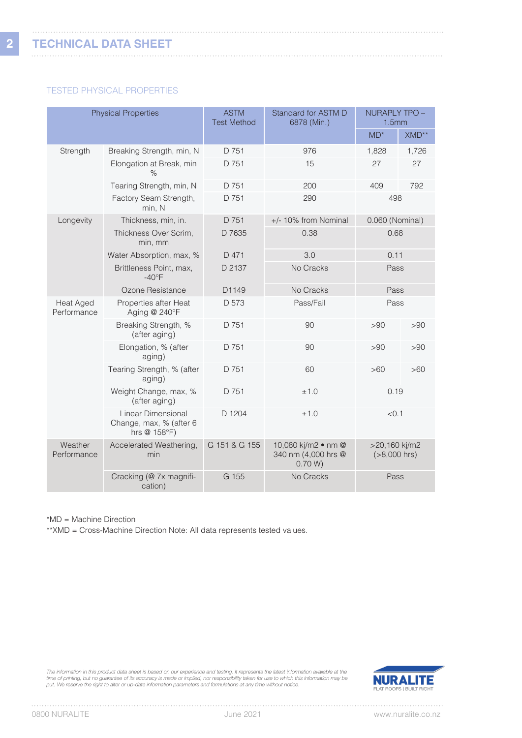## TESTED PHYSICAL PROPERTIES

| <b>Physical Properties</b>      |                                                               | <b>ASTM</b><br><b>Test Method</b> | Standard for ASTM D<br>6878 (Min.)                                                      | NURAPLY TPO -<br>1.5mm |       |
|---------------------------------|---------------------------------------------------------------|-----------------------------------|-----------------------------------------------------------------------------------------|------------------------|-------|
|                                 |                                                               |                                   |                                                                                         | $MD*$                  | XMD** |
| Strength                        | Breaking Strength, min, N                                     | D 751                             | 976                                                                                     | 1,828                  | 1,726 |
|                                 | Elongation at Break, min<br>%                                 | D 751                             | 15                                                                                      | 27                     | 27    |
|                                 | Tearing Strength, min, N                                      | D 751                             | 200                                                                                     | 409                    | 792   |
|                                 | Factory Seam Strength,<br>min, N                              | D 751                             | 290                                                                                     | 498                    |       |
| Longevity                       | Thickness, min, in.                                           | D 751                             | +/- 10% from Nominal                                                                    | 0.060 (Nominal)        |       |
|                                 | Thickness Over Scrim,<br>min. mm                              | D 7635                            | 0.68<br>0.38                                                                            |                        |       |
|                                 | Water Absorption, max, %                                      | D 471                             | 3.0                                                                                     | 0.11                   |       |
|                                 | Brittleness Point, max,<br>$-40^{\circ}F$                     | D 2137                            | No Cracks                                                                               |                        | Pass  |
|                                 | Ozone Resistance                                              | D <sub>1149</sub>                 | No Cracks                                                                               | Pass                   |       |
| <b>Heat Aged</b><br>Performance | Properties after Heat<br>Aging @ 240°F                        | D 573                             | Pass/Fail                                                                               | Pass                   |       |
|                                 | Breaking Strength, %<br>(after aging)                         | D 751                             | 90                                                                                      | >90                    | >90   |
|                                 | Elongation, % (after<br>aging)                                | D 751                             | 90                                                                                      | >90                    | >90   |
|                                 | Tearing Strength, % (after<br>aging)                          | D 751                             | 60                                                                                      | >60                    | >60   |
|                                 | Weight Change, max, %<br>(after aging)                        | D 751                             | ±1.0                                                                                    | 0.19                   |       |
|                                 | Linear Dimensional<br>Change, max, % (after 6<br>hrs @ 158°F) | D 1204                            | ±1.0                                                                                    | < 0.1                  |       |
| Weather<br>Performance          | Accelerated Weathering,<br>min                                | G 151 & G 155                     | 10,080 kj/m2 • nm @<br>>20,160 kj/m2<br>340 nm (4,000 hrs @<br>$(>8,000$ hrs)<br>0.70 W |                        |       |
|                                 | Cracking (@ 7x magnifi-<br>cation)                            | G 155                             | No Cracks                                                                               | Pass                   |       |

\*MD = Machine Direction

\*\*XMD = Cross-Machine Direction Note: All data represents tested values.

The information in this product data sheet is based on our experience and testing. It represents the latest information available at the<br>time of printing, but no guarantee of its accuracy is made or implied, nor responsibi